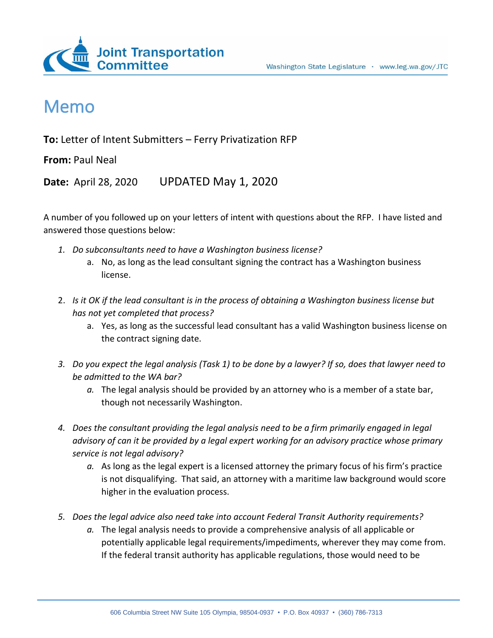



## Memo

**To:** Letter of Intent Submitters – Ferry Privatization RFP

**From:** Paul Neal

**Date:** April 28, 2020 UPDATED May 1, 2020

A number of you followed up on your letters of intent with questions about the RFP. I have listed and answered those questions below:

- *1. Do subconsultants need to have a Washington business license?*
	- a. No, as long as the lead consultant signing the contract has a Washington business license.
- 2. *Is it OK if the lead consultant is in the process of obtaining a Washington business license but has not yet completed that process?*
	- a. Yes, as long as the successful lead consultant has a valid Washington business license on the contract signing date.
- *3. Do you expect the legal analysis (Task 1) to be done by a lawyer? If so, does that lawyer need to be admitted to the WA bar?*
	- *a.* The legal analysis should be provided by an attorney who is a member of a state bar, though not necessarily Washington.
- *4. Does the consultant providing the legal analysis need to be a firm primarily engaged in legal advisory of can it be provided by a legal expert working for an advisory practice whose primary service is not legal advisory?*
	- *a.* As long as the legal expert is a licensed attorney the primary focus of his firm's practice is not disqualifying. That said, an attorney with a maritime law background would score higher in the evaluation process.
- *5. Does the legal advice also need take into account Federal Transit Authority requirements?*
	- *a.* The legal analysis needs to provide a comprehensive analysis of all applicable or potentially applicable legal requirements/impediments, wherever they may come from. If the federal transit authority has applicable regulations, those would need to be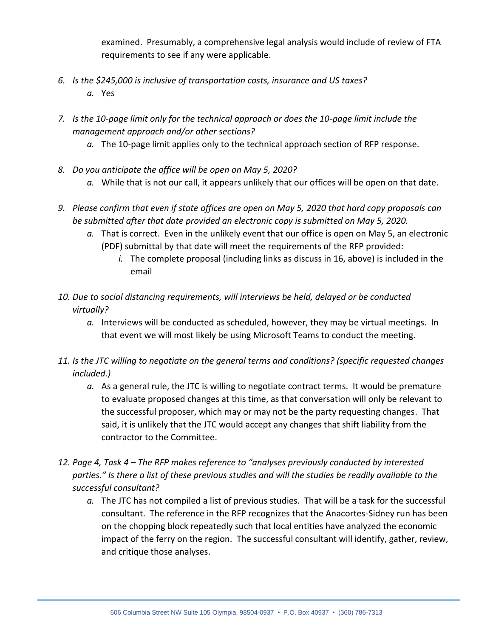examined. Presumably, a comprehensive legal analysis would include of review of FTA requirements to see if any were applicable.

- *6. Is the \$245,000 is inclusive of transportation costs, insurance and US taxes? a.* Yes
- *7. Is the 10-page limit only for the technical approach or does the 10-page limit include the management approach and/or other sections?*
	- *a.* The 10-page limit applies only to the technical approach section of RFP response.
- *8. Do you anticipate the office will be open on May 5, 2020?*
	- *a.* While that is not our call, it appears unlikely that our offices will be open on that date.
- *9. Please confirm that even if state offices are open on May 5, 2020 that hard copy proposals can be submitted after that date provided an electronic copy is submitted on May 5, 2020.*
	- *a.* That is correct. Even in the unlikely event that our office is open on May 5, an electronic (PDF) submittal by that date will meet the requirements of the RFP provided:
		- *i.* The complete proposal (including links as discuss in 16, above) is included in the email
- *10. Due to social distancing requirements, will interviews be held, delayed or be conducted virtually?*
	- *a.* Interviews will be conducted as scheduled, however, they may be virtual meetings. In that event we will most likely be using Microsoft Teams to conduct the meeting.
- *11. Is the JTC willing to negotiate on the general terms and conditions? (specific requested changes included.)*
	- *a.* As a general rule, the JTC is willing to negotiate contract terms. It would be premature to evaluate proposed changes at this time, as that conversation will only be relevant to the successful proposer, which may or may not be the party requesting changes. That said, it is unlikely that the JTC would accept any changes that shift liability from the contractor to the Committee.
- *12. Page 4, Task 4 – The RFP makes reference to "analyses previously conducted by interested parties." Is there a list of these previous studies and will the studies be readily available to the successful consultant?*
	- *a.* The JTC has not compiled a list of previous studies. That will be a task for the successful consultant. The reference in the RFP recognizes that the Anacortes-Sidney run has been on the chopping block repeatedly such that local entities have analyzed the economic impact of the ferry on the region. The successful consultant will identify, gather, review, and critique those analyses.